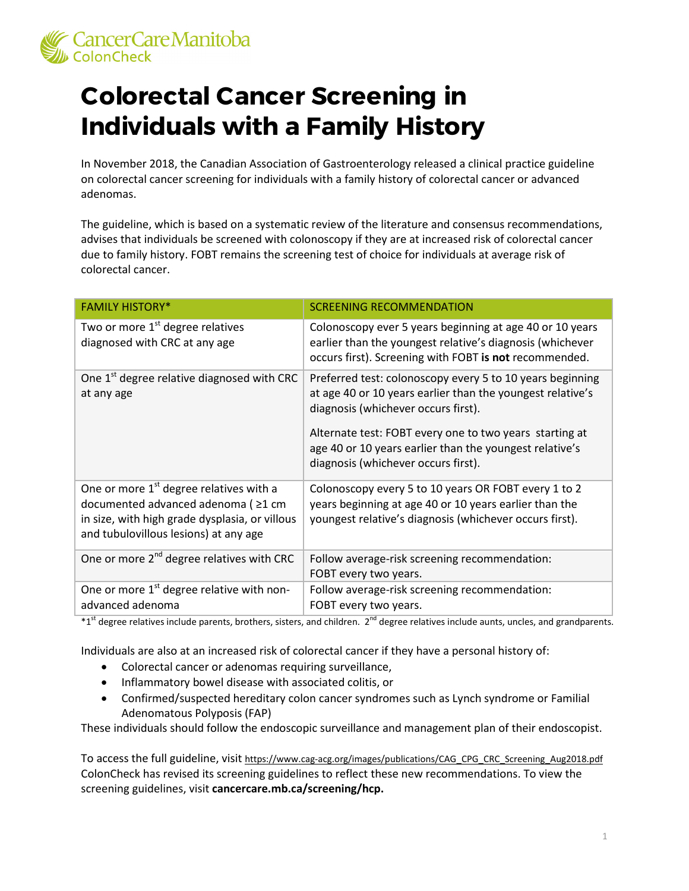

## **Colorectal Cancer Screening in Individuals with a Family History**

In November 2018, the Canadian Association of Gastroenterology released a clinical practice guideline on colorectal cancer screening for individuals with a family history of colorectal cancer or advanced adenomas.

The guideline, which is based on a systematic review of the literature and consensus recommendations, advises that individuals be screened with colonoscopy if they are at increased risk of colorectal cancer due to family history. FOBT remains the screening test of choice for individuals at average risk of colorectal cancer.

| <b>FAMILY HISTORY*</b>                                                                                                                                                                | <b>SCREENING RECOMMENDATION</b>                                                                                                                                                                                                                                                                                             |
|---------------------------------------------------------------------------------------------------------------------------------------------------------------------------------------|-----------------------------------------------------------------------------------------------------------------------------------------------------------------------------------------------------------------------------------------------------------------------------------------------------------------------------|
| Two or more 1 <sup>st</sup> degree relatives<br>diagnosed with CRC at any age                                                                                                         | Colonoscopy ever 5 years beginning at age 40 or 10 years<br>earlier than the youngest relative's diagnosis (whichever<br>occurs first). Screening with FOBT is not recommended.                                                                                                                                             |
| One 1 <sup>st</sup> degree relative diagnosed with CRC<br>at any age                                                                                                                  | Preferred test: colonoscopy every 5 to 10 years beginning<br>at age 40 or 10 years earlier than the youngest relative's<br>diagnosis (whichever occurs first).<br>Alternate test: FOBT every one to two years starting at<br>age 40 or 10 years earlier than the youngest relative's<br>diagnosis (whichever occurs first). |
| One or more 1 <sup>st</sup> degree relatives with a<br>documented advanced adenoma ( ≥1 cm<br>in size, with high grade dysplasia, or villous<br>and tubulovillous lesions) at any age | Colonoscopy every 5 to 10 years OR FOBT every 1 to 2<br>years beginning at age 40 or 10 years earlier than the<br>youngest relative's diagnosis (whichever occurs first).                                                                                                                                                   |
| One or more 2 <sup>nd</sup> degree relatives with CRC                                                                                                                                 | Follow average-risk screening recommendation:<br>FOBT every two years.                                                                                                                                                                                                                                                      |
| One or more 1 <sup>st</sup> degree relative with non-<br>advanced adenoma                                                                                                             | Follow average-risk screening recommendation:<br>FOBT every two years.                                                                                                                                                                                                                                                      |

 $*1<sup>st</sup>$  degree relatives include parents, brothers, sisters, and children.  $2<sup>nd</sup>$  degree relatives include aunts, uncles, and grandparents.

Individuals are also at an increased risk of colorectal cancer if they have a personal history of:

- Colorectal cancer or adenomas requiring surveillance,
- Inflammatory bowel disease with associated colitis, or
- Confirmed/suspected hereditary colon cancer syndromes such as Lynch syndrome or Familial Adenomatous Polyposis (FAP)

These individuals should follow the endoscopic surveillance and management plan of their endoscopist.

To access the full guideline, visi[t https://www.cag-acg.org/images/publications/CAG\\_CPG\\_CRC\\_Screening\\_Aug2018.pdf](https://www.cag-acg.org/images/publications/CAG_CPG_CRC_Screening_Aug2018.pdf) ColonCheck has revised its screening guidelines to reflect these new recommendations. To view the screening guidelines, visit **cancercare.mb.ca/screening/hcp.**